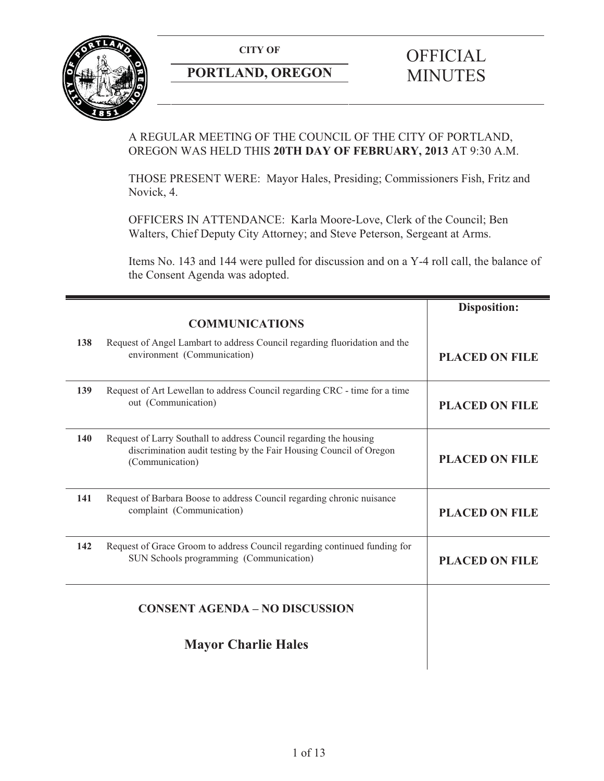**CITY OF** 



## **PORTLAND, OREGON**

# **OFFICIAL** MINUTES

## A REGULAR MEETING OF THE COUNCIL OF THE CITY OF PORTLAND, OREGON WAS HELD THIS **20TH DAY OF FEBRUARY, 2013** AT 9:30 A.M.

THOSE PRESENT WERE: Mayor Hales, Presiding; Commissioners Fish, Fritz and Novick, 4.

OFFICERS IN ATTENDANCE: Karla Moore-Love, Clerk of the Council; Ben Walters, Chief Deputy City Attorney; and Steve Peterson, Sergeant at Arms.

Items No. 143 and 144 were pulled for discussion and on a Y-4 roll call, the balance of the Consent Agenda was adopted.

|                                       |                                                                                                                                                             | <b>Disposition:</b>   |
|---------------------------------------|-------------------------------------------------------------------------------------------------------------------------------------------------------------|-----------------------|
|                                       | <b>COMMUNICATIONS</b>                                                                                                                                       |                       |
| 138                                   | Request of Angel Lambart to address Council regarding fluoridation and the<br>environment (Communication)                                                   | <b>PLACED ON FILE</b> |
| 139                                   | Request of Art Lewellan to address Council regarding CRC - time for a time<br>out (Communication)                                                           | <b>PLACED ON FILE</b> |
| 140                                   | Request of Larry Southall to address Council regarding the housing<br>discrimination audit testing by the Fair Housing Council of Oregon<br>(Communication) | <b>PLACED ON FILE</b> |
| 141                                   | Request of Barbara Boose to address Council regarding chronic nuisance<br>complaint (Communication)                                                         | <b>PLACED ON FILE</b> |
| 142                                   | Request of Grace Groom to address Council regarding continued funding for<br>SUN Schools programming (Communication)                                        | <b>PLACED ON FILE</b> |
| <b>CONSENT AGENDA - NO DISCUSSION</b> |                                                                                                                                                             |                       |
|                                       | <b>Mayor Charlie Hales</b>                                                                                                                                  |                       |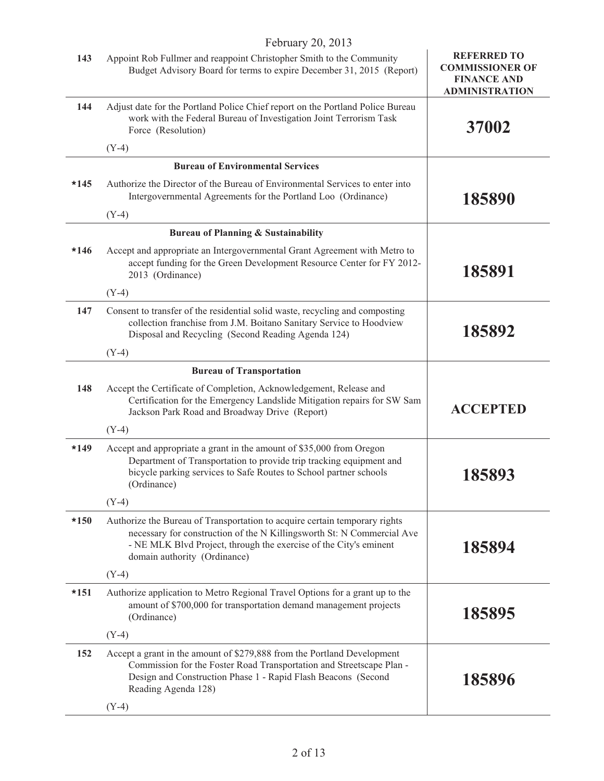|        | February 20, 2013                                                                                                                                                                                                                                         |                                                                                             |
|--------|-----------------------------------------------------------------------------------------------------------------------------------------------------------------------------------------------------------------------------------------------------------|---------------------------------------------------------------------------------------------|
| 143    | Appoint Rob Fullmer and reappoint Christopher Smith to the Community<br>Budget Advisory Board for terms to expire December 31, 2015 (Report)                                                                                                              | <b>REFERRED TO</b><br><b>COMMISSIONER OF</b><br><b>FINANCE AND</b><br><b>ADMINISTRATION</b> |
| 144    | Adjust date for the Portland Police Chief report on the Portland Police Bureau<br>work with the Federal Bureau of Investigation Joint Terrorism Task<br>Force (Resolution)                                                                                | 37002                                                                                       |
|        | $(Y-4)$                                                                                                                                                                                                                                                   |                                                                                             |
|        | <b>Bureau of Environmental Services</b>                                                                                                                                                                                                                   |                                                                                             |
| $*145$ | Authorize the Director of the Bureau of Environmental Services to enter into<br>Intergovernmental Agreements for the Portland Loo (Ordinance)                                                                                                             | 185890                                                                                      |
|        | $(Y-4)$                                                                                                                                                                                                                                                   |                                                                                             |
|        | <b>Bureau of Planning &amp; Sustainability</b>                                                                                                                                                                                                            |                                                                                             |
| $*146$ | Accept and appropriate an Intergovernmental Grant Agreement with Metro to<br>accept funding for the Green Development Resource Center for FY 2012-<br>2013 (Ordinance)                                                                                    | 185891                                                                                      |
|        | $(Y-4)$                                                                                                                                                                                                                                                   |                                                                                             |
| 147    | Consent to transfer of the residential solid waste, recycling and composting<br>collection franchise from J.M. Boitano Sanitary Service to Hoodview<br>Disposal and Recycling (Second Reading Agenda 124)                                                 | 185892                                                                                      |
|        | $(Y-4)$                                                                                                                                                                                                                                                   |                                                                                             |
|        | <b>Bureau of Transportation</b>                                                                                                                                                                                                                           |                                                                                             |
| 148    | Accept the Certificate of Completion, Acknowledgement, Release and<br>Certification for the Emergency Landslide Mitigation repairs for SW Sam<br>Jackson Park Road and Broadway Drive (Report)                                                            | <b>ACCEPTED</b>                                                                             |
|        | $(Y-4)$                                                                                                                                                                                                                                                   |                                                                                             |
| $*149$ | Accept and appropriate a grant in the amount of \$35,000 from Oregon<br>Department of Transportation to provide trip tracking equipment and<br>bicycle parking services to Safe Routes to School partner schools<br>(Ordinance)                           | 185893                                                                                      |
|        | $(Y-4)$                                                                                                                                                                                                                                                   |                                                                                             |
| $*150$ | Authorize the Bureau of Transportation to acquire certain temporary rights<br>necessary for construction of the N Killingsworth St: N Commercial Ave<br>- NE MLK Blvd Project, through the exercise of the City's eminent<br>domain authority (Ordinance) | 185894                                                                                      |
|        | $(Y-4)$                                                                                                                                                                                                                                                   |                                                                                             |
| $*151$ | Authorize application to Metro Regional Travel Options for a grant up to the<br>amount of \$700,000 for transportation demand management projects<br>(Ordinance)                                                                                          | 185895                                                                                      |
|        | $(Y-4)$                                                                                                                                                                                                                                                   |                                                                                             |
| 152    | Accept a grant in the amount of \$279,888 from the Portland Development<br>Commission for the Foster Road Transportation and Streetscape Plan -<br>Design and Construction Phase 1 - Rapid Flash Beacons (Second<br>Reading Agenda 128)                   | 185896                                                                                      |
|        | $(Y-4)$                                                                                                                                                                                                                                                   |                                                                                             |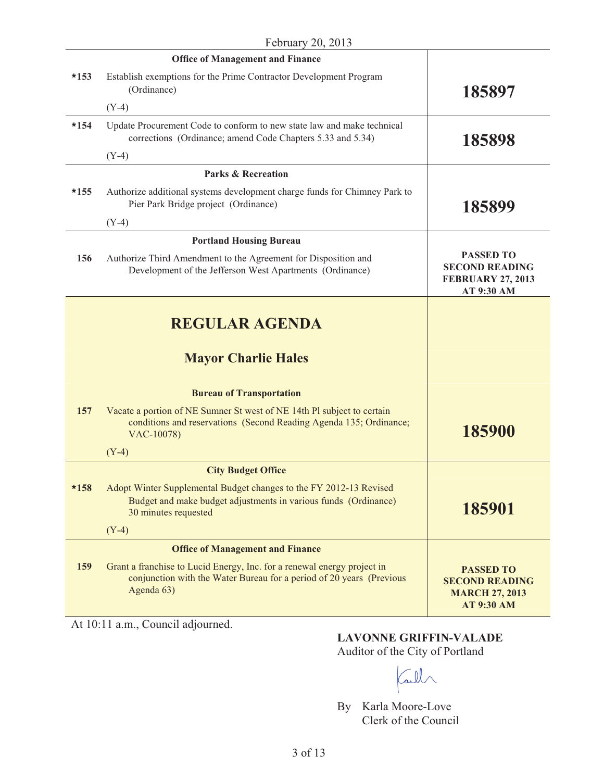|        | <b>Office of Management and Finance</b>                                                                                                                       |                                                                                         |
|--------|---------------------------------------------------------------------------------------------------------------------------------------------------------------|-----------------------------------------------------------------------------------------|
| $*153$ | Establish exemptions for the Prime Contractor Development Program<br>(Ordinance)                                                                              | 185897                                                                                  |
|        | $(Y-4)$                                                                                                                                                       |                                                                                         |
| $*154$ | Update Procurement Code to conform to new state law and make technical<br>corrections (Ordinance; amend Code Chapters 5.33 and 5.34)                          | 185898                                                                                  |
|        | $(Y-4)$                                                                                                                                                       |                                                                                         |
|        | <b>Parks &amp; Recreation</b>                                                                                                                                 |                                                                                         |
| $*155$ | Authorize additional systems development charge funds for Chimney Park to<br>Pier Park Bridge project (Ordinance)                                             | 185899                                                                                  |
|        | $(Y-4)$                                                                                                                                                       |                                                                                         |
|        | <b>Portland Housing Bureau</b>                                                                                                                                |                                                                                         |
| 156    | Authorize Third Amendment to the Agreement for Disposition and<br>Development of the Jefferson West Apartments (Ordinance)                                    | <b>PASSED TO</b><br><b>SECOND READING</b><br><b>FEBRUARY 27, 2013</b><br>AT 9:30 AM     |
|        | <b>REGULAR AGENDA</b><br><b>Mayor Charlie Hales</b>                                                                                                           |                                                                                         |
|        | <b>Bureau of Transportation</b>                                                                                                                               |                                                                                         |
| 157    | Vacate a portion of NE Sumner St west of NE 14th Pl subject to certain<br>conditions and reservations (Second Reading Agenda 135; Ordinance;<br>VAC-10078)    | 185900                                                                                  |
|        | $(Y-4)$                                                                                                                                                       |                                                                                         |
|        | <b>City Budget Office</b>                                                                                                                                     |                                                                                         |
| $*158$ | Adopt Winter Supplemental Budget changes to the FY 2012-13 Revised<br>Budget and make budget adjustments in various funds (Ordinance)<br>30 minutes requested | 185901                                                                                  |
|        | $(Y-4)$                                                                                                                                                       |                                                                                         |
|        | <b>Office of Management and Finance</b>                                                                                                                       |                                                                                         |
| 159    | Grant a franchise to Lucid Energy, Inc. for a renewal energy project in<br>conjunction with the Water Bureau for a period of 20 years (Previous<br>Agenda 63) | <b>PASSED TO</b><br><b>SECOND READING</b><br><b>MARCH 27, 2013</b><br><b>AT 9:30 AM</b> |

At 10:11 a.m., Council adjourned.

## **LAVONNE GRIFFIN-VALADE**  Auditor of the City of Portland

Call

By Karla Moore-Love Clerk of the Council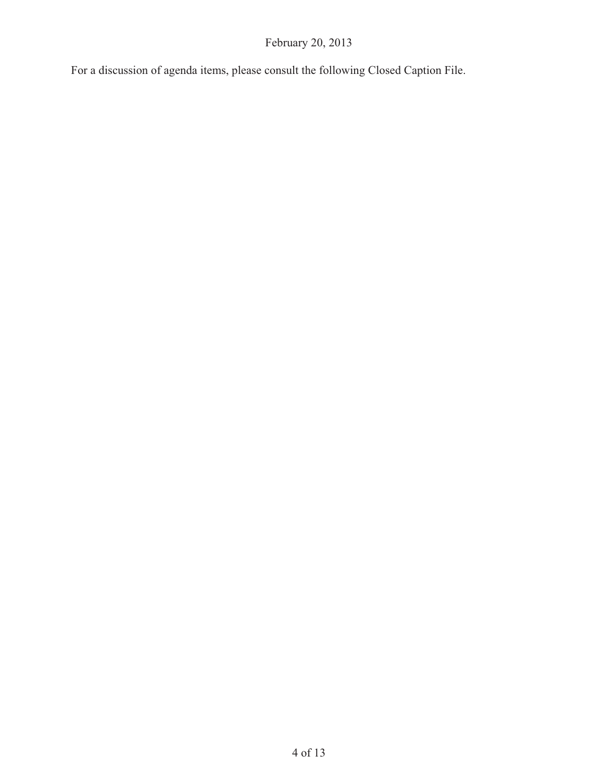For a discussion of agenda items, please consult the following Closed Caption File.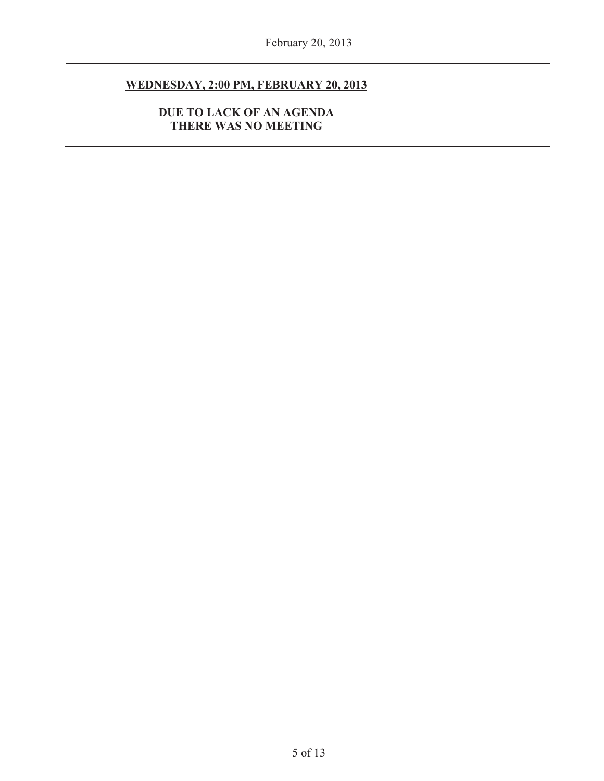## **WEDNESDAY, 2:00 PM, FEBRUARY 20, 2013**

**DUE TO LACK OF AN AGENDA THERE WAS NO MEETING**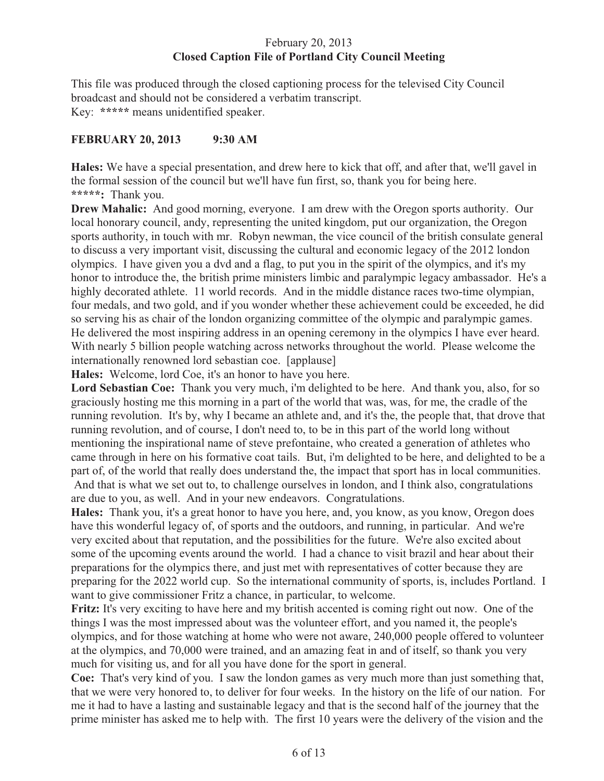### February 20, 2013 **Closed Caption File of Portland City Council Meeting**

This file was produced through the closed captioning process for the televised City Council broadcast and should not be considered a verbatim transcript. Key: **\*\*\*\*\*** means unidentified speaker.

#### **FEBRUARY 20, 2013 9:30 AM**

**Hales:** We have a special presentation, and drew here to kick that off, and after that, we'll gavel in the formal session of the council but we'll have fun first, so, thank you for being here. **\*\*\*\*\*:** Thank you.

**Drew Mahalic:** And good morning, everyone. I am drew with the Oregon sports authority. Our local honorary council, andy, representing the united kingdom, put our organization, the Oregon sports authority, in touch with mr. Robyn newman, the vice council of the british consulate general to discuss a very important visit, discussing the cultural and economic legacy of the 2012 london olympics. I have given you a dvd and a flag, to put you in the spirit of the olympics, and it's my honor to introduce the, the british prime ministers limbic and paralympic legacy ambassador. He's a highly decorated athlete. 11 world records. And in the middle distance races two-time olympian, four medals, and two gold, and if you wonder whether these achievement could be exceeded, he did so serving his as chair of the london organizing committee of the olympic and paralympic games. He delivered the most inspiring address in an opening ceremony in the olympics I have ever heard. With nearly 5 billion people watching across networks throughout the world. Please welcome the internationally renowned lord sebastian coe. [applause]

**Hales:** Welcome, lord Coe, it's an honor to have you here.

**Lord Sebastian Coe:** Thank you very much, i'm delighted to be here. And thank you, also, for so graciously hosting me this morning in a part of the world that was, was, for me, the cradle of the running revolution. It's by, why I became an athlete and, and it's the, the people that, that drove that running revolution, and of course, I don't need to, to be in this part of the world long without mentioning the inspirational name of steve prefontaine, who created a generation of athletes who came through in here on his formative coat tails. But, i'm delighted to be here, and delighted to be a part of, of the world that really does understand the, the impact that sport has in local communities. And that is what we set out to, to challenge ourselves in london, and I think also, congratulations are due to you, as well. And in your new endeavors. Congratulations.

**Hales:** Thank you, it's a great honor to have you here, and, you know, as you know, Oregon does have this wonderful legacy of, of sports and the outdoors, and running, in particular. And we're very excited about that reputation, and the possibilities for the future. We're also excited about some of the upcoming events around the world. I had a chance to visit brazil and hear about their preparations for the olympics there, and just met with representatives of cotter because they are preparing for the 2022 world cup. So the international community of sports, is, includes Portland. I want to give commissioner Fritz a chance, in particular, to welcome.

**Fritz:** It's very exciting to have here and my british accented is coming right out now. One of the things I was the most impressed about was the volunteer effort, and you named it, the people's olympics, and for those watching at home who were not aware, 240,000 people offered to volunteer at the olympics, and 70,000 were trained, and an amazing feat in and of itself, so thank you very much for visiting us, and for all you have done for the sport in general.

**Coe:** That's very kind of you. I saw the london games as very much more than just something that, that we were very honored to, to deliver for four weeks. In the history on the life of our nation. For me it had to have a lasting and sustainable legacy and that is the second half of the journey that the prime minister has asked me to help with. The first 10 years were the delivery of the vision and the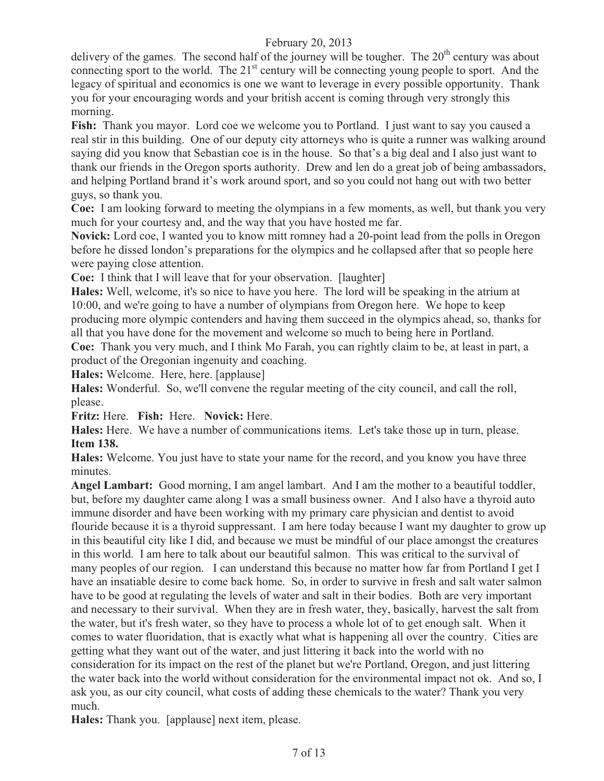delivery of the games. The second half of the journey will be tougher. The  $20<sup>th</sup>$  century was about connecting sport to the world. The  $21<sup>st</sup>$  century will be connecting young people to sport. And the legacy of spiritual and economics is one we want to leverage in every possible opportunity. Thank you for your encouraging words and your british accent is coming through very strongly this morning.

**Fish:** Thank you mayor. Lord coe we welcome you to Portland. I just want to say you caused a real stir in this building. One of our deputy city attorneys who is quite a runner was walking around saying did you know that Sebastian coe is in the house. So that's a big deal and I also just want to thank our friends in the Oregon sports authority. Drew and len do a great job of being ambassadors, and helping Portland brand it's work around sport, and so you could not hang out with two better guys, so thank you.

**Coe:** I am looking forward to meeting the olympians in a few moments, as well, but thank you very much for your courtesy and, and the way that you have hosted me far.

**Novick:** Lord coe, I wanted you to know mitt romney had a 20-point lead from the polls in Oregon before he dissed london's preparations for the olympics and he collapsed after that so people here were paying close attention.

**Coe:** I think that I will leave that for your observation. [laughter]

**Hales:** Well, welcome, it's so nice to have you here. The lord will be speaking in the atrium at 10:00, and we're going to have a number of olympians from Oregon here. We hope to keep producing more olympic contenders and having them succeed in the olympics ahead, so, thanks for all that you have done for the movement and welcome so much to being here in Portland.

**Coe:** Thank you very much, and I think Mo Farah, you can rightly claim to be, at least in part, a product of the Oregonian ingenuity and coaching.

**Hales:** Welcome. Here, here. [applause]

**Hales:** Wonderful. So, we'll convene the regular meeting of the city council, and call the roll, please.

**Fritz:** Here. **Fish:** Here. **Novick:** Here.

**Hales:** Here. We have a number of communications items. Let's take those up in turn, please. **Item 138.**

**Hales:** Welcome. You just have to state your name for the record, and you know you have three minutes.

**Angel Lambart:** Good morning, I am angel lambart. And I am the mother to a beautiful toddler, but, before my daughter came along I was a small business owner. And I also have a thyroid auto immune disorder and have been working with my primary care physician and dentist to avoid flouride because it is a thyroid suppressant. I am here today because I want my daughter to grow up in this beautiful city like I did, and because we must be mindful of our place amongst the creatures in this world. I am here to talk about our beautiful salmon. This was critical to the survival of many peoples of our region. I can understand this because no matter how far from Portland I get I have an insatiable desire to come back home. So, in order to survive in fresh and salt water salmon have to be good at regulating the levels of water and salt in their bodies. Both are very important and necessary to their survival. When they are in fresh water, they, basically, harvest the salt from the water, but it's fresh water, so they have to process a whole lot of to get enough salt. When it comes to water fluoridation, that is exactly what what is happening all over the country. Cities are getting what they want out of the water, and just littering it back into the world with no consideration for its impact on the rest of the planet but we're Portland, Oregon, and just littering the water back into the world without consideration for the environmental impact not ok. And so, I ask you, as our city council, what costs of adding these chemicals to the water? Thank you very much.

**Hales:** Thank you. [applause] next item, please.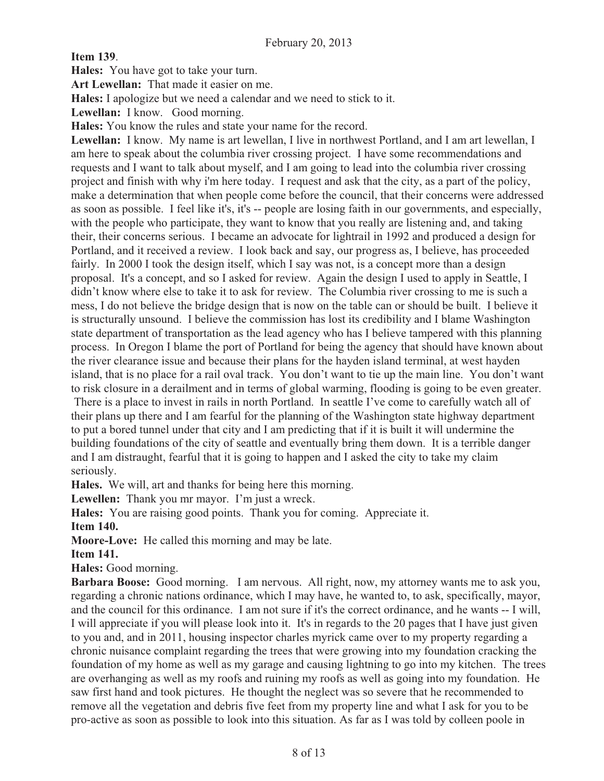**Item 139**.

**Hales:** You have got to take your turn.

**Art Lewellan:** That made it easier on me.

**Hales:** I apologize but we need a calendar and we need to stick to it.

Lewellan: I know. Good morning.

**Hales:** You know the rules and state your name for the record.

**Lewellan:** I know. My name is art lewellan, I live in northwest Portland, and I am art lewellan, I am here to speak about the columbia river crossing project. I have some recommendations and requests and I want to talk about myself, and I am going to lead into the columbia river crossing project and finish with why i'm here today. I request and ask that the city, as a part of the policy, make a determination that when people come before the council, that their concerns were addressed as soon as possible. I feel like it's, it's -- people are losing faith in our governments, and especially, with the people who participate, they want to know that you really are listening and, and taking their, their concerns serious. I became an advocate for lightrail in 1992 and produced a design for Portland, and it received a review. I look back and say, our progress as, I believe, has proceeded fairly. In 2000 I took the design itself, which I say was not, is a concept more than a design proposal. It's a concept, and so I asked for review. Again the design I used to apply in Seattle, I didn't know where else to take it to ask for review. The Columbia river crossing to me is such a mess, I do not believe the bridge design that is now on the table can or should be built. I believe it is structurally unsound. I believe the commission has lost its credibility and I blame Washington state department of transportation as the lead agency who has I believe tampered with this planning process. In Oregon I blame the port of Portland for being the agency that should have known about the river clearance issue and because their plans for the hayden island terminal, at west hayden island, that is no place for a rail oval track. You don't want to tie up the main line. You don't want to risk closure in a derailment and in terms of global warming, flooding is going to be even greater. There is a place to invest in rails in north Portland. In seattle I've come to carefully watch all of

their plans up there and I am fearful for the planning of the Washington state highway department to put a bored tunnel under that city and I am predicting that if it is built it will undermine the building foundations of the city of seattle and eventually bring them down. It is a terrible danger and I am distraught, fearful that it is going to happen and I asked the city to take my claim seriously.

**Hales.** We will, art and thanks for being here this morning.

**Lewellen:** Thank you mr mayor. I'm just a wreck.

**Hales:** You are raising good points. Thank you for coming. Appreciate it. **Item 140.** 

**Moore-Love:** He called this morning and may be late.

#### **Item 141.**

**Hales:** Good morning.

**Barbara Boose:** Good morning. I am nervous. All right, now, my attorney wants me to ask you, regarding a chronic nations ordinance, which I may have, he wanted to, to ask, specifically, mayor, and the council for this ordinance. I am not sure if it's the correct ordinance, and he wants -- I will, I will appreciate if you will please look into it. It's in regards to the 20 pages that I have just given to you and, and in 2011, housing inspector charles myrick came over to my property regarding a chronic nuisance complaint regarding the trees that were growing into my foundation cracking the foundation of my home as well as my garage and causing lightning to go into my kitchen. The trees are overhanging as well as my roofs and ruining my roofs as well as going into my foundation. He saw first hand and took pictures. He thought the neglect was so severe that he recommended to remove all the vegetation and debris five feet from my property line and what I ask for you to be pro-active as soon as possible to look into this situation. As far as I was told by colleen poole in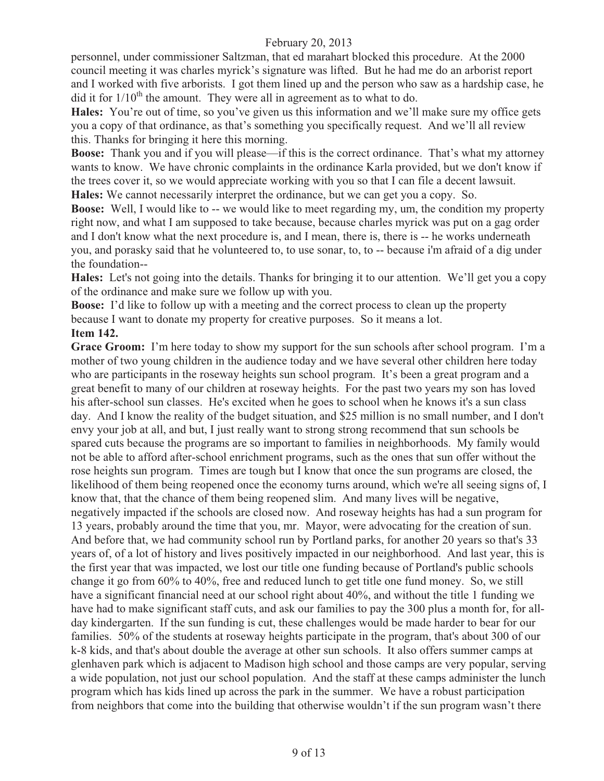personnel, under commissioner Saltzman, that ed marahart blocked this procedure. At the 2000 council meeting it was charles myrick's signature was lifted. But he had me do an arborist report and I worked with five arborists. I got them lined up and the person who saw as a hardship case, he did it for  $1/10^{th}$  the amount. They were all in agreement as to what to do.

**Hales:** You're out of time, so you've given us this information and we'll make sure my office gets you a copy of that ordinance, as that's something you specifically request. And we'll all review this. Thanks for bringing it here this morning.

**Boose:** Thank you and if you will please—if this is the correct ordinance. That's what my attorney wants to know. We have chronic complaints in the ordinance Karla provided, but we don't know if the trees cover it, so we would appreciate working with you so that I can file a decent lawsuit. **Hales:** We cannot necessarily interpret the ordinance, but we can get you a copy. So.

**Boose:** Well, I would like to -- we would like to meet regarding my, um, the condition my property right now, and what I am supposed to take because, because charles myrick was put on a gag order and I don't know what the next procedure is, and I mean, there is, there is -- he works underneath you, and porasky said that he volunteered to, to use sonar, to, to -- because i'm afraid of a dig under the foundation--

**Hales:** Let's not going into the details. Thanks for bringing it to our attention. We'll get you a copy of the ordinance and make sure we follow up with you.

**Boose:** I'd like to follow up with a meeting and the correct process to clean up the property because I want to donate my property for creative purposes. So it means a lot.

#### **Item 142.**

Grace Groom: I'm here today to show my support for the sun schools after school program. I'm a mother of two young children in the audience today and we have several other children here today who are participants in the roseway heights sun school program. It's been a great program and a great benefit to many of our children at roseway heights. For the past two years my son has loved his after-school sun classes. He's excited when he goes to school when he knows it's a sun class day. And I know the reality of the budget situation, and \$25 million is no small number, and I don't envy your job at all, and but, I just really want to strong strong recommend that sun schools be spared cuts because the programs are so important to families in neighborhoods. My family would not be able to afford after-school enrichment programs, such as the ones that sun offer without the rose heights sun program. Times are tough but I know that once the sun programs are closed, the likelihood of them being reopened once the economy turns around, which we're all seeing signs of, I know that, that the chance of them being reopened slim. And many lives will be negative, negatively impacted if the schools are closed now. And roseway heights has had a sun program for 13 years, probably around the time that you, mr. Mayor, were advocating for the creation of sun. And before that, we had community school run by Portland parks, for another 20 years so that's 33 years of, of a lot of history and lives positively impacted in our neighborhood. And last year, this is the first year that was impacted, we lost our title one funding because of Portland's public schools change it go from 60% to 40%, free and reduced lunch to get title one fund money. So, we still have a significant financial need at our school right about 40%, and without the title 1 funding we have had to make significant staff cuts, and ask our families to pay the 300 plus a month for, for allday kindergarten. If the sun funding is cut, these challenges would be made harder to bear for our families. 50% of the students at roseway heights participate in the program, that's about 300 of our k-8 kids, and that's about double the average at other sun schools. It also offers summer camps at glenhaven park which is adjacent to Madison high school and those camps are very popular, serving a wide population, not just our school population. And the staff at these camps administer the lunch program which has kids lined up across the park in the summer. We have a robust participation from neighbors that come into the building that otherwise wouldn't if the sun program wasn't there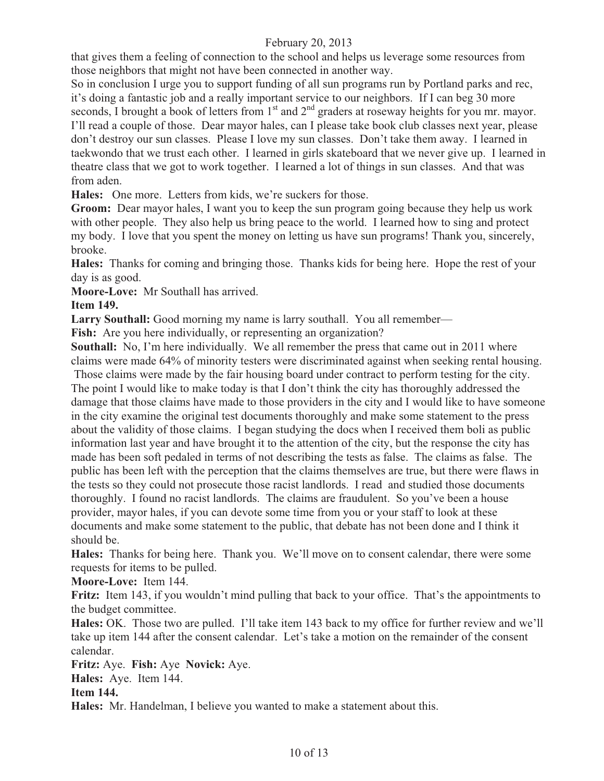that gives them a feeling of connection to the school and helps us leverage some resources from those neighbors that might not have been connected in another way.

So in conclusion I urge you to support funding of all sun programs run by Portland parks and rec, it's doing a fantastic job and a really important service to our neighbors. If I can beg 30 more seconds, I brought a book of letters from  $1<sup>st</sup>$  and  $2<sup>nd</sup>$  graders at roseway heights for you mr. mayor. I'll read a couple of those. Dear mayor hales, can I please take book club classes next year, please don't destroy our sun classes. Please I love my sun classes. Don't take them away. I learned in taekwondo that we trust each other. I learned in girls skateboard that we never give up. I learned in theatre class that we got to work together. I learned a lot of things in sun classes. And that was from aden.

**Hales:** One more. Letters from kids, we're suckers for those.

**Groom:** Dear mayor hales, I want you to keep the sun program going because they help us work with other people. They also help us bring peace to the world. I learned how to sing and protect my body. I love that you spent the money on letting us have sun programs! Thank you, sincerely, brooke.

**Hales:** Thanks for coming and bringing those. Thanks kids for being here. Hope the rest of your day is as good.

**Moore-Love:** Mr Southall has arrived.

## **Item 149.**

**Larry Southall:** Good morning my name is larry southall. You all remember—

**Fish:** Are you here individually, or representing an organization?

**Southall:** No, I'm here individually. We all remember the press that came out in 2011 where claims were made 64% of minority testers were discriminated against when seeking rental housing.

 Those claims were made by the fair housing board under contract to perform testing for the city. The point I would like to make today is that I don't think the city has thoroughly addressed the damage that those claims have made to those providers in the city and I would like to have someone in the city examine the original test documents thoroughly and make some statement to the press about the validity of those claims. I began studying the docs when I received them boli as public information last year and have brought it to the attention of the city, but the response the city has made has been soft pedaled in terms of not describing the tests as false. The claims as false. The public has been left with the perception that the claims themselves are true, but there were flaws in the tests so they could not prosecute those racist landlords. I read and studied those documents thoroughly. I found no racist landlords. The claims are fraudulent. So you've been a house provider, mayor hales, if you can devote some time from you or your staff to look at these documents and make some statement to the public, that debate has not been done and I think it should be.

**Hales:** Thanks for being here. Thank you. We'll move on to consent calendar, there were some requests for items to be pulled.

**Moore-Love:** Item 144.

**Fritz:** Item 143, if you wouldn't mind pulling that back to your office. That's the appointments to the budget committee.

**Hales:** OK. Those two are pulled. I'll take item 143 back to my office for further review and we'll take up item 144 after the consent calendar. Let's take a motion on the remainder of the consent calendar.

**Fritz:** Aye. **Fish:** Aye **Novick:** Aye.

**Hales:** Aye. Item 144.

**Item 144.** 

**Hales:** Mr. Handelman, I believe you wanted to make a statement about this.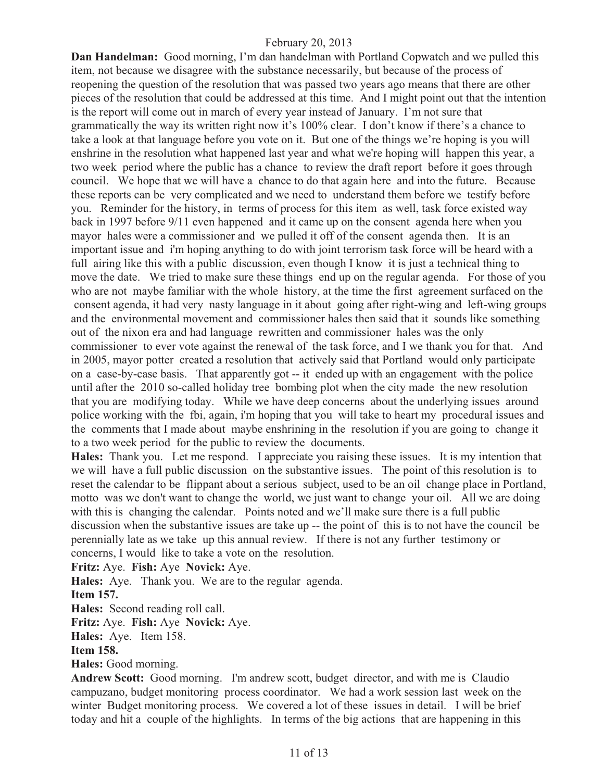**Dan Handelman:** Good morning, I'm dan handelman with Portland Copwatch and we pulled this item, not because we disagree with the substance necessarily, but because of the process of reopening the question of the resolution that was passed two years ago means that there are other pieces of the resolution that could be addressed at this time. And I might point out that the intention is the report will come out in march of every year instead of January. I'm not sure that grammatically the way its written right now it's 100% clear. I don't know if there's a chance to take a look at that language before you vote on it. But one of the things we're hoping is you will enshrine in the resolution what happened last year and what we're hoping will happen this year, a two week period where the public has a chance to review the draft report before it goes through council. We hope that we will have a chance to do that again here and into the future. Because these reports can be very complicated and we need to understand them before we testify before you. Reminder for the history, in terms of process for this item as well, task force existed way back in 1997 before 9/11 even happened and it came up on the consent agenda here when you mayor hales were a commissioner and we pulled it off of the consent agenda then. It is an important issue and i'm hoping anything to do with joint terrorism task force will be heard with a full airing like this with a public discussion, even though I know it is just a technical thing to move the date. We tried to make sure these things end up on the regular agenda. For those of you who are not maybe familiar with the whole history, at the time the first agreement surfaced on the consent agenda, it had very nasty language in it about going after right-wing and left-wing groups and the environmental movement and commissioner hales then said that it sounds like something out of the nixon era and had language rewritten and commissioner hales was the only commissioner to ever vote against the renewal of the task force, and I we thank you for that. And in 2005, mayor potter created a resolution that actively said that Portland would only participate on a case-by-case basis. That apparently got -- it ended up with an engagement with the police until after the 2010 so-called holiday tree bombing plot when the city made the new resolution that you are modifying today. While we have deep concerns about the underlying issues around police working with the fbi, again, i'm hoping that you will take to heart my procedural issues and the comments that I made about maybe enshrining in the resolution if you are going to change it to a two week period for the public to review the documents.

**Hales:** Thank you. Let me respond. I appreciate you raising these issues. It is my intention that we will have a full public discussion on the substantive issues. The point of this resolution is to reset the calendar to be flippant about a serious subject, used to be an oil change place in Portland, motto was we don't want to change the world, we just want to change your oil. All we are doing with this is changing the calendar. Points noted and we'll make sure there is a full public discussion when the substantive issues are take up -- the point of this is to not have the council be perennially late as we take up this annual review. If there is not any further testimony or concerns, I would like to take a vote on the resolution.

**Fritz:** Aye. **Fish:** Aye **Novick:** Aye.

**Hales:** Aye. Thank you. We are to the regular agenda.

**Item 157.** 

**Hales:** Second reading roll call.

**Fritz:** Aye. **Fish:** Aye **Novick:** Aye.

**Hales:** Aye. Item 158.

**Item 158.**

**Hales:** Good morning.

**Andrew Scott:** Good morning. I'm andrew scott, budget director, and with me is Claudio campuzano, budget monitoring process coordinator. We had a work session last week on the winter Budget monitoring process. We covered a lot of these issues in detail. I will be brief today and hit a couple of the highlights. In terms of the big actions that are happening in this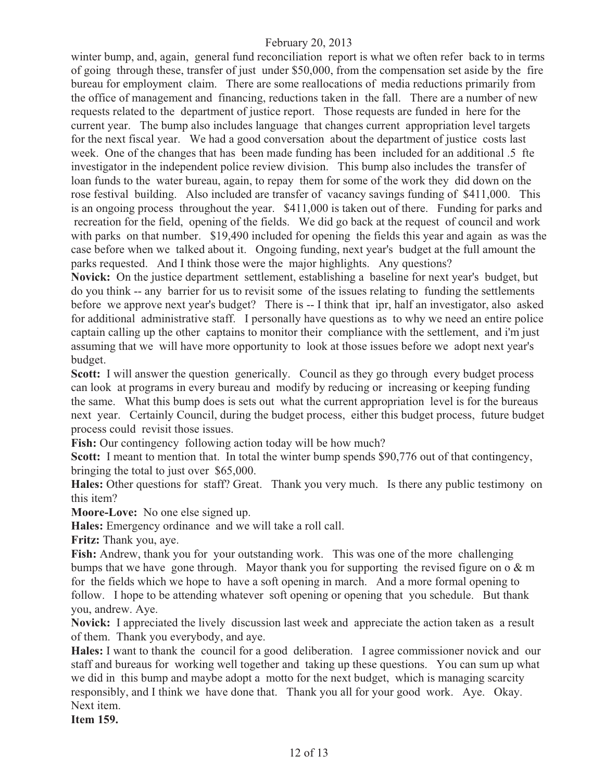winter bump, and, again, general fund reconciliation report is what we often refer back to in terms of going through these, transfer of just under \$50,000, from the compensation set aside by the fire bureau for employment claim. There are some reallocations of media reductions primarily from the office of management and financing, reductions taken in the fall. There are a number of new requests related to the department of justice report. Those requests are funded in here for the current year. The bump also includes language that changes current appropriation level targets for the next fiscal year. We had a good conversation about the department of justice costs last week. One of the changes that has been made funding has been included for an additional .5 fte investigator in the independent police review division. This bump also includes the transfer of loan funds to the water bureau, again, to repay them for some of the work they did down on the rose festival building. Also included are transfer of vacancy savings funding of \$411,000. This is an ongoing process throughout the year. \$411,000 is taken out of there. Funding for parks and recreation for the field, opening of the fields. We did go back at the request of council and work with parks on that number. \$19,490 included for opening the fields this year and again as was the case before when we talked about it. Ongoing funding, next year's budget at the full amount the parks requested. And I think those were the major highlights. Any questions?

**Novick:** On the justice department settlement, establishing a baseline for next year's budget, but do you think -- any barrier for us to revisit some of the issues relating to funding the settlements before we approve next year's budget? There is -- I think that ipr, half an investigator, also asked for additional administrative staff. I personally have questions as to why we need an entire police captain calling up the other captains to monitor their compliance with the settlement, and i'm just assuming that we will have more opportunity to look at those issues before we adopt next year's budget.

**Scott:** I will answer the question generically. Council as they go through every budget process can look at programs in every bureau and modify by reducing or increasing or keeping funding the same. What this bump does is sets out what the current appropriation level is for the bureaus next year. Certainly Council, during the budget process, either this budget process, future budget process could revisit those issues.

**Fish:** Our contingency following action today will be how much?

**Scott:** I meant to mention that. In total the winter bump spends \$90,776 out of that contingency, bringing the total to just over \$65,000.

**Hales:** Other questions for staff? Great. Thank you very much. Is there any public testimony on this item?

**Moore-Love:** No one else signed up.

**Hales:** Emergency ordinance and we will take a roll call.

**Fritz:** Thank you, aye.

**Fish:** Andrew, thank you for your outstanding work. This was one of the more challenging bumps that we have gone through. Mayor thank you for supporting the revised figure on  $\alpha \& m$ for the fields which we hope to have a soft opening in march. And a more formal opening to follow. I hope to be attending whatever soft opening or opening that you schedule. But thank you, andrew. Aye.

**Novick:** I appreciated the lively discussion last week and appreciate the action taken as a result of them. Thank you everybody, and aye.

**Hales:** I want to thank the council for a good deliberation. I agree commissioner novick and our staff and bureaus for working well together and taking up these questions. You can sum up what we did in this bump and maybe adopt a motto for the next budget, which is managing scarcity responsibly, and I think we have done that. Thank you all for your good work. Aye. Okay. Next item.

**Item 159.**